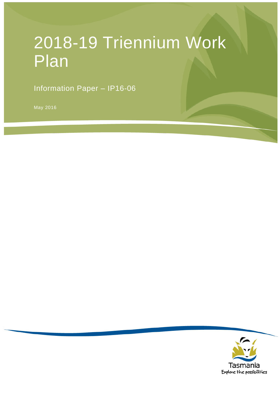# 2018-19 Triennium Work Plan

Information Paper – IP16-06

May 2016

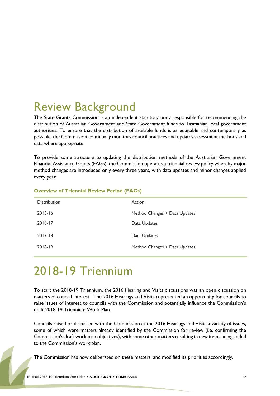## Review Background

The State Grants Commission is an independent statutory body responsible for recommending the distribution of Australian Government and State Government funds to Tasmanian local government authorities. To ensure that the distribution of available funds is as equitable and contemporary as possible, the Commission continually monitors council practices and updates assessment methods and data where appropriate.

To provide some structure to updating the distribution methods of the Australian Government Financial Assistance Grants (FAGs), the Commission operates a triennial review policy whereby major method changes are introduced only every three years, with data updates and minor changes applied every year.

| <b>Distribution</b> | Action                        |
|---------------------|-------------------------------|
| $2015 - 16$         | Method Changes + Data Updates |
| 2016-17             | Data Updates                  |
| 2017-18             | Data Updates                  |
| 2018-19             | Method Changes + Data Updates |

#### **Overview of Triennial Review Period (FAGs)**

## 2018-19 Triennium

To start the 2018-19 Triennium, the 2016 Hearing and Visits discussions was an open discussion on matters of council interest. The 2016 Hearings and Visits represented an opportunity for councils to raise issues of interest to councils with the Commission and potentially influence the Commission's draft 2018-19 Triennium Work Plan.

Councils raised or discussed with the Commission at the 2016 Hearings and Visits a variety of issues, some of which were matters already identified by the Commission for review (i.e. confirming the Commission's draft work plan objectives), with some other matters resulting in new items being added to the Commission's work plan.

The Commission has now deliberated on these matters, and modified its priorities accordingly.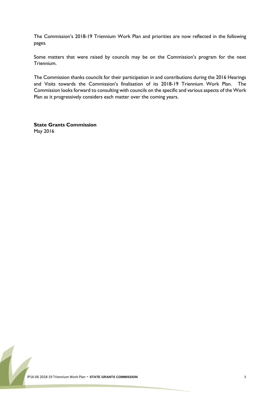The Commission's 2018-19 Triennium Work Plan and priorities are now reflected in the following pages.

Some matters that were raised by councils may be on the Commission's program for the next Triennium.

The Commission thanks councils for their participation in and contributions during the 2016 Hearings and Visits towards the Commission's finalisation of its 2018-19 Triennium Work Plan. The Commission looks forward to consulting with councils on the specific and various aspects of the Work Plan as it progressively considers each matter over the coming years.

**State Grants Commission** May 2016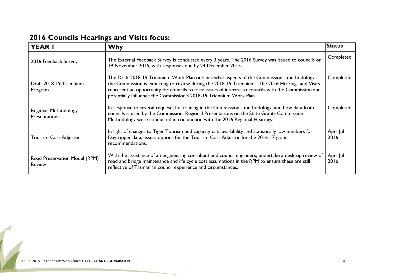| <b>YEAR I</b>                                | <b>Why</b>                                                                                                                                                                                                                                                                                                                                                                      | Status           |
|----------------------------------------------|---------------------------------------------------------------------------------------------------------------------------------------------------------------------------------------------------------------------------------------------------------------------------------------------------------------------------------------------------------------------------------|------------------|
| 2016 Feedback Survey                         | The External Feedback Survey is conducted every 3 years. The 2016 Survey was issued to councils on<br>19 November 2015, with responses due by 24 December 2015.                                                                                                                                                                                                                 | Completed        |
| Draft 2018-19 Triennium<br>Program           | The Draft 2018-19 Triennium Work Plan outlines what aspects of the Commission's methodology<br>the Commission is expecting to review during the 2018-19 Triennium. The 2016 Hearings and Visits<br>represent an opportunity for councils to raise issues of interest to councils with the Commission and<br>potentially influence the Commission's 2018-19 Triennium Work Plan. | Completed        |
| Regional Methodology<br><b>Presentations</b> | In response to several requests for training in the Commission's methodology, and how data from<br>councils is used by the Commission, Regional Presentations on the State Grants Commission<br>Methodology were conducted in conjunction with the 2016 Regional Hearings.                                                                                                      | Completed        |
| <b>Tourism Cost Adjustor</b>                 | In light of changes to Tiger Tourism bed capacity data availability and statistically low numbers for<br>Daytripper data, assess options for the Tourism Cost Adjustor for the 2016-17 grant<br>recommendations.                                                                                                                                                                | Apr- Jul<br>2016 |
| Road Preservation Model (RPM)<br>Review      | With the assistance of an engineering consultant and council engineers, undertake a desktop review of<br>road and bridge maintenance and life cycle cost assumptions in the RPM to ensure these are still<br>reflective of Tasmanian council experience and circumstances.                                                                                                      | Apr- Jul<br>2016 |

#### **2016 Councils Hearings and Visits focus:**

 $\overline{1}$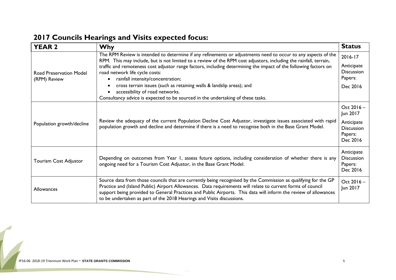| <b>YEAR 2</b>                           | <b>Why</b>                                                                                                                                                                                                                                                                                                                                                                                                                                                                                                                                                                                                                  | <b>Status</b>                                                                    |
|-----------------------------------------|-----------------------------------------------------------------------------------------------------------------------------------------------------------------------------------------------------------------------------------------------------------------------------------------------------------------------------------------------------------------------------------------------------------------------------------------------------------------------------------------------------------------------------------------------------------------------------------------------------------------------------|----------------------------------------------------------------------------------|
| Road Preservation Model<br>(RPM) Review | The RPM Review is intended to determine if any refinements or adjustments need to occur to any aspects of the<br>RPM. This may include, but is not limited to a review of the RPM cost adjustors, including the rainfall, terrain,<br>traffic and remoteness cost adjustor range factors, including determining the impact of the following factors on<br>road network life cycle costs:<br>rainfall intensity/concentration;<br>cross terrain issues (such as retaining walls & landslip areas); and<br>accessibility of road networks.<br>Consultancy advice is expected to be sourced in the undertaking of these tasks. | 2016-17<br>Anticipate<br><b>Discussion</b><br>Papers:<br>Dec 2016                |
| Population growth/decline               | Review the adequacy of the current Population Decline Cost Adjustor, investigate issues associated with rapid<br>population growth and decline and determine if there is a need to recognise both in the Base Grant Model.                                                                                                                                                                                                                                                                                                                                                                                                  | Oct 2016 -<br>Jun 2017<br>Anticipate<br><b>Discussion</b><br>Papers:<br>Dec 2016 |
| Tourism Cost Adjustor                   | Depending on outcomes from Year 1, assess future options, including consideration of whether there is any<br>ongoing need for a Tourism Cost Adjustor, in the Base Grant Model.                                                                                                                                                                                                                                                                                                                                                                                                                                             | Anticipate<br><b>Discussion</b><br>Papers:<br>Dec 2016                           |
| Allowances                              | Source data from those councils that are currently being recognised by the Commission as qualifying for the GP<br>Practice and (Island Public) Airport Allowances. Data requirements will relate to current forms of council<br>support being provided to General Practices and Public Airports. This data will inform the review of allowances<br>to be undertaken as part of the 2018 Hearings and Visits discussions.                                                                                                                                                                                                    | Oct 2016 -<br>Jun 2017                                                           |

#### **2017 Councils Hearings and Visits expected focus:**

 $\overline{1}$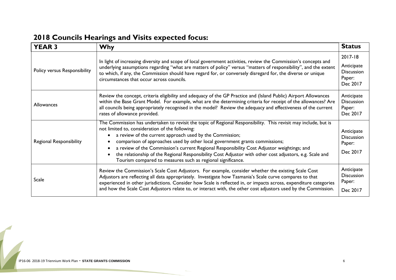| <b>YEAR 3</b>                  | <b>Why</b>                                                                                                                                                                                                                                                                                                                                                                                                                                                                                                                                                                                         | <b>Status</b>                                                    |
|--------------------------------|----------------------------------------------------------------------------------------------------------------------------------------------------------------------------------------------------------------------------------------------------------------------------------------------------------------------------------------------------------------------------------------------------------------------------------------------------------------------------------------------------------------------------------------------------------------------------------------------------|------------------------------------------------------------------|
| Policy versus Responsibility   | In light of increasing diversity and scope of local government activities, review the Commission's concepts and<br>underlying assumptions regarding "what are matters of policy" versus "matters of responsibility", and the extent<br>to which, if any, the Commission should have regard for, or conversely disregard for, the diverse or unique<br>circumstances that occur across councils.                                                                                                                                                                                                    | 2017-18<br>Anticipate<br><b>Discussion</b><br>Paper:<br>Dec 2017 |
| Allowances                     | Review the concept, criteria eligibility and adequacy of the GP Practice and (Island Public) Airport Allowances<br>within the Base Grant Model. For example, what are the determining criteria for receipt of the allowances? Are<br>all councils being appropriately recognised in the model? Review the adequacy and effectiveness of the current<br>rates of allowance provided.                                                                                                                                                                                                                | Anticipate<br><b>Discussion</b><br>Paper:<br>Dec 2017            |
| <b>Regional Responsibility</b> | The Commission has undertaken to revisit the topic of Regional Responsibility. This revisit may include, but is<br>not limited to, consideration of the following:<br>a review of the current approach used by the Commission;<br>comparison of approaches used by other local government grants commissions;<br>a review of the Commission's current Regional Responsibility Cost Adjustor weightings; and<br>the relationship of the Regional Responsibility Cost Adjustor with other cost adjustors, e.g. Scale and<br>$\bullet$<br>Tourism compared to measures such as regional significance. | Anticipate<br><b>Discussion</b><br>Paper:<br>Dec 2017            |
| <b>Scale</b>                   | Review the Commission's Scale Cost Adjustors. For example, consider whether the existing Scale Cost<br>Adjustors are reflecting all data appropriately. Investigate how Tasmania's Scale curve compares to that<br>experienced in other jurisdictions. Consider how Scale is reflected in, or impacts across, expenditure categories<br>and how the Scale Cost Adjustors relate to, or interact with, the other cost adjustors used by the Commission.                                                                                                                                             | Anticipate<br><b>Discussion</b><br>Paper:<br>Dec 2017            |

#### **2018 Councils Hearings and Visits expected focus:**

 $\overline{1}$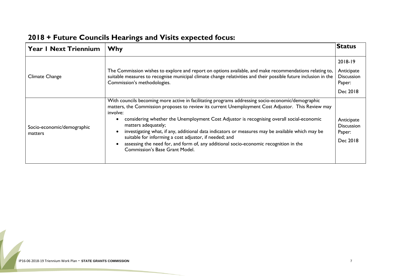| <b>Year I Next Triennium</b>          | <b>Why</b>                                                                                                                                                                                                                                                                                                                                                                                                                                                                                                                                                                                                                              | <b>Status</b>                                                    |
|---------------------------------------|-----------------------------------------------------------------------------------------------------------------------------------------------------------------------------------------------------------------------------------------------------------------------------------------------------------------------------------------------------------------------------------------------------------------------------------------------------------------------------------------------------------------------------------------------------------------------------------------------------------------------------------------|------------------------------------------------------------------|
| Climate Change                        | The Commission wishes to explore and report on options available, and make recommendations relating to,<br>suitable measures to recognise municipal climate change relativities and their possible future inclusion in the<br>Commission's methodologies.                                                                                                                                                                                                                                                                                                                                                                               | 2018-19<br>Anticipate<br><b>Discussion</b><br>Paper:<br>Dec 2018 |
| Socio-economic/demographic<br>matters | With councils becoming more active in facilitating programs addressing socio-economic/demographic<br>matters, the Commission proposes to review its current Unemployment Cost Adjustor. This Review may<br>involve:<br>considering whether the Unemployment Cost Adjustor is recognising overall social-economic<br>matters adequately;<br>investigating what, if any, additional data indicators or measures may be available which may be<br>suitable for informing a cost adjustor, if needed; and<br>assessing the need for, and form of, any additional socio-economic recognition in the<br><b>Commission's Base Grant Model.</b> | Anticipate<br><b>Discussion</b><br>Paper:<br>Dec 2018            |

### **2018 + Future Councils Hearings and Visits expected focus:**